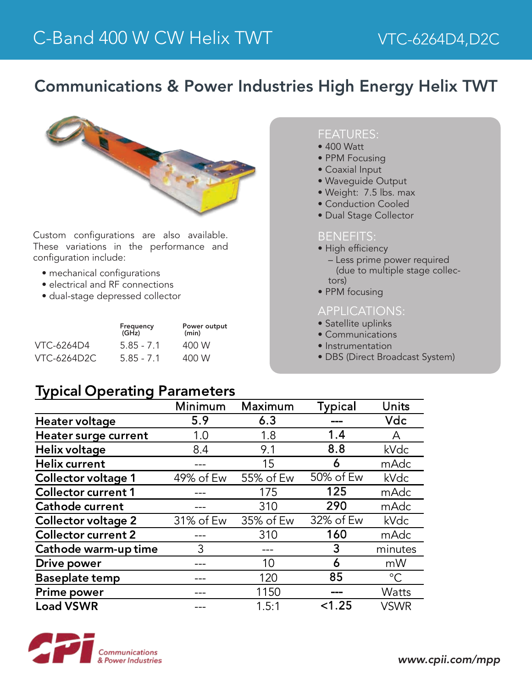# Communications & Power Industries High Energy Helix TWT



Custom configurations are also available. These variations in the performance and configuration include:

- mechanical configurations
- electrical and RF connections
- dual-stage depressed collector

|             | Frequency<br>(GHz) | Power output<br>(min) |  |
|-------------|--------------------|-----------------------|--|
| VTC-6264D4  | $5.85 - 7.1$       | 400 W                 |  |
| VTC-6264D2C | $5.85 - 7.1$       | 400 W                 |  |

### FEATURES:

- 400 Watt
- PPM Focusing
- Coaxial Input
- Waveguide Output
- Weight: 7.5 lbs. max
- Conduction Cooled
- Dual Stage Collector

#### BENEFITS:

- High efficiency
	- Less prime power required (due to multiple stage collectors)
- PPM focusing

### APPLICATIONS:

- Satellite uplinks
- Communications
- Instrumentation
- DBS (Direct Broadcast System)

## Typical Operating Parameters

|                             | Minimum   | Maximum   | <b>Typical</b> | Units        |
|-----------------------------|-----------|-----------|----------------|--------------|
| Heater voltage              | 5.9       | 6.3       |                | Vdc          |
| <b>Heater surge current</b> | 1.0       | 1.8       | 1.4            | А            |
| Helix voltage               | 8.4       | 9.1       | 8.8            | kVdc         |
| <b>Helix current</b>        |           | 15        | 6              | mAdc         |
| <b>Collector voltage 1</b>  | 49% of Ew | 55% of Ew | 50% of Ew      | kVdc         |
| <b>Collector current 1</b>  |           | 175       | 125            | mAdc         |
| <b>Cathode current</b>      |           | 310       | 290            | mAdc         |
| <b>Collector voltage 2</b>  | 31% of Ew | 35% of Ew | 32% of Ew      | kVdc         |
| <b>Collector current 2</b>  |           | 310       | 160            | mAdc         |
| Cathode warm-up time        | 3         |           | 3              | minutes      |
| <b>Drive power</b>          |           | 10        | 6              | mW           |
| <b>Baseplate temp</b>       |           | 120       | 85             | $^{\circ}C$  |
| <b>Prime power</b>          |           | 1150      |                | <b>Watts</b> |
| <b>Load VSWR</b>            |           | 1.5:1     | < 1.25         | <b>VSWR</b>  |